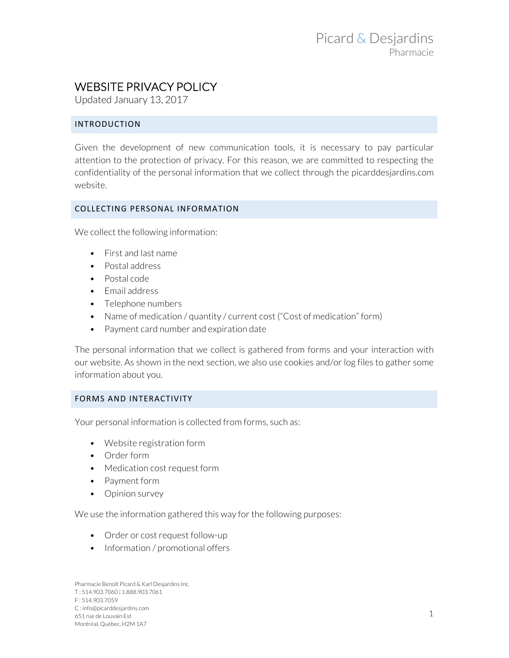# WEBSITE PRIVACY POLICY

Updated January 13, 2017

# INTRODUCTION

Given the development of new communication tools, it is necessary to pay particular attention to the protection of privacy. For this reason, we are committed to respecting the confidentiality of the personal information that we collect through the picarddesjardins.com website.

#### COLLECTING PERSONAL INFORMATION

We collect the following information:

- First and last name
- Postal address
- Postal code
- Email address
- Telephone numbers
- Name of medication / quantity / current cost ("Cost of medication" form)
- Payment card number and expiration date

The personal information that we collect is gathered from forms and your interaction with our website. As shown in the next section, we also use cookies and/or log files to gather some information about you.

# FORMS AND INTERACTIVITY

Your personal information is collected from forms, such as:

- Website registration form
- Order form
- Medication cost request form
- Payment form
- Opinion survey

We use the information gathered this way for the following purposes:

- Order or cost request follow-up
- Information / promotional offers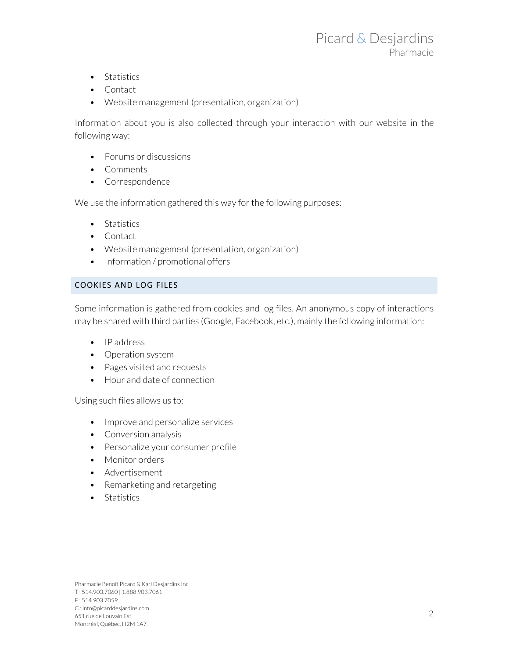- Statistics
- Contact
- Website management (presentation, organization)

Information about you is also collected through your interaction with our website in the following way:

- Forums or discussions
- Comments
- Correspondence

We use the information gathered this way for the following purposes:

- Statistics
- Contact
- Website management (presentation, organization)
- Information / promotional offers

#### COOKIES AND LOG FILES

Some information is gathered from cookies and log files. An anonymous copy of interactions may be shared with third parties (Google, Facebook, etc.), mainly the following information:

- IP address
- Operation system
- Pages visited and requests
- Hour and date of connection

Using such files allows us to:

- Improve and personalize services
- Conversion analysis
- Personalize your consumer profile
- Monitor orders
- Advertisement
- Remarketing and retargeting
- Statistics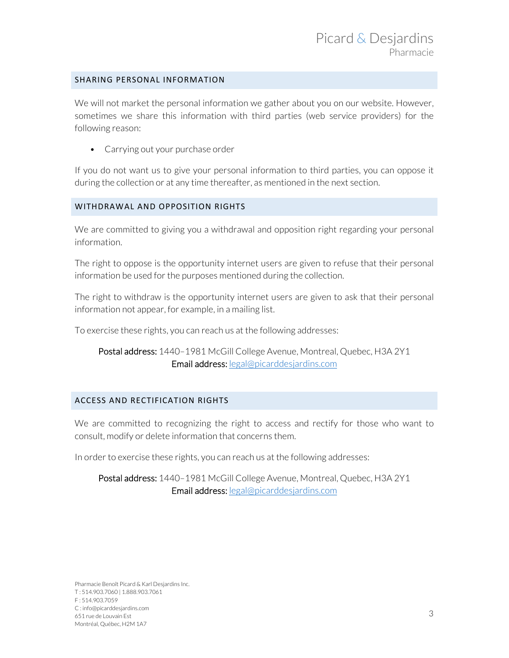### SHARING PERSONAL INFORMATION

We will not market the personal information we gather about you on our website. However, sometimes we share this information with third parties (web service providers) for the following reason:

• Carrying out your purchase order

If you do not want us to give your personal information to third parties, you can oppose it during the collection or at any time thereafter, as mentioned in the next section.

## WITHDRAWAL AND OPPOSITION RIGHTS

We are committed to giving you a withdrawal and opposition right regarding your personal information.

The right to oppose is the opportunity internet users are given to refuse that their personal information be used for the purposes mentioned during the collection.

The right to withdraw is the opportunity internet users are given to ask that their personal information not appear, for example, in a mailing list.

To exercise these rights, you can reach us at the following addresses:

# Postal address: 1440-1981 McGill College Avenue, Montreal, Quebec, H3A 2Y1 Email address: legal@picarddesjardins.com

#### ACCESS AND RECTIFICATION RIGHTS

We are committed to recognizing the right to access and rectify for those who want to consult, modify or delete information that concerns them.

In order to exercise these rights, you can reach us at the following addresses:

# Postal address: 1440-1981 McGill College Avenue, Montreal, Quebec, H3A 2Y1 Email address: legal@picarddesjardins.com